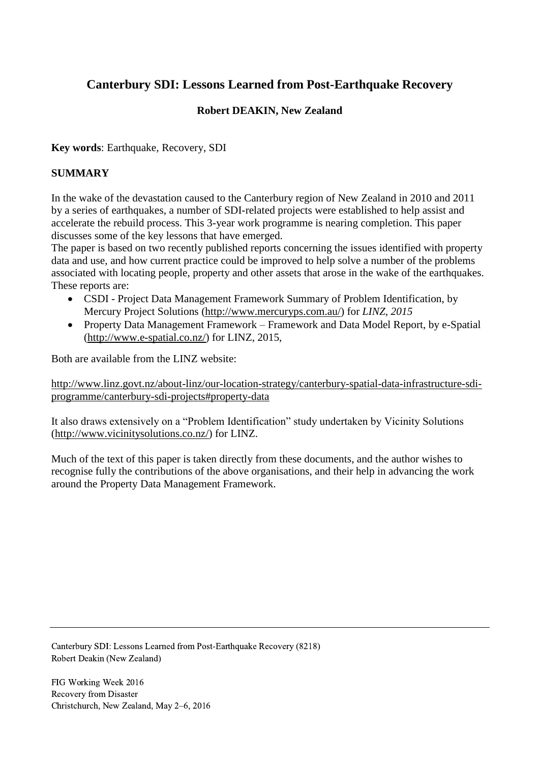# **Canterbury SDI: Lessons Learned from Post-Earthquake Recovery**

# **Robert DEAKIN, New Zealand**

**Key words**: Earthquake, Recovery, SDI

## **SUMMARY**

In the wake of the devastation caused to the Canterbury region of New Zealand in 2010 and 2011 by a series of earthquakes, a number of SDI-related projects were established to help assist and accelerate the rebuild process. This 3-year work programme is nearing completion. This paper discusses some of the key lessons that have emerged.

The paper is based on two recently published reports concerning the issues identified with property data and use, and how current practice could be improved to help solve a number of the problems associated with locating people, property and other assets that arose in the wake of the earthquakes. These reports are:

- CSDI Project Data Management Framework Summary of Problem Identification, by Mercury Project Solutions [\(http://www.mercuryps.com.au/\)](http://www.mercuryps.com.au/) for *LINZ, 2015*
- Property Data Management Framework Framework and Data Model Report, by e-Spatial [\(http://www.e-spatial.co.nz/\)](http://www.e-spatial.co.nz/) for LINZ, 2015,

Both are available from the LINZ website:

[http://www.linz.govt.nz/about-linz/our-location-strategy/canterbury-spatial-data-infrastructure-sdi](http://www.linz.govt.nz/about-linz/our-location-strategy/canterbury-spatial-data-infrastructure-sdi-programme/canterbury-sdi-projects#property-data)[programme/canterbury-sdi-projects#property-data](http://www.linz.govt.nz/about-linz/our-location-strategy/canterbury-spatial-data-infrastructure-sdi-programme/canterbury-sdi-projects#property-data)

It also draws extensively on a "Problem Identification" study undertaken by Vicinity Solutions [\(http://www.vicinitysolutions.co.nz/\)](http://www.vicinitysolutions.co.nz/) for LINZ.

Much of the text of this paper is taken directly from these documents, and the author wishes to recognise fully the contributions of the above organisations, and their help in advancing the work around the Property Data Management Framework.

Canterbury SDI: Lessons Learned from Post-Earthquake Recovery (8218) Robert Deakin (New Zealand)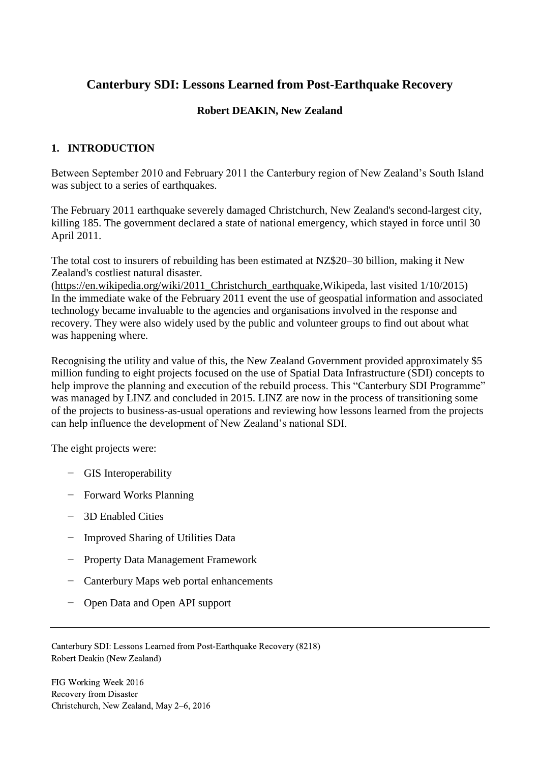# **Canterbury SDI: Lessons Learned from Post-Earthquake Recovery**

## **Robert DEAKIN, New Zealand**

# **1. INTRODUCTION**

Between September 2010 and February 2011 the Canterbury region of New Zealand's South Island was subject to a series of earthquakes.

The February 2011 earthquake severely damaged Christchurch, New Zealand's second-largest city, killing 185. The government declared a state of national emergency, which stayed in force until 30 April 2011.

The total cost to insurers of rebuilding has been estimated at NZ\$20–30 billion, making it New Zealand's costliest natural disaster.

[\(https://en.wikipedia.org/wiki/2011\\_Christchurch\\_earthquake,](https://en.wikipedia.org/wiki/2011_Christchurch_earthquake)Wikipeda, last visited 1/10/2015) In the immediate wake of the February 2011 event the use of geospatial information and associated technology became invaluable to the agencies and organisations involved in the response and recovery. They were also widely used by the public and volunteer groups to find out about what was happening where.

Recognising the utility and value of this, the New Zealand Government provided approximately \$5 million funding to eight projects focused on the use of Spatial Data Infrastructure (SDI) concepts to help improve the planning and execution of the rebuild process. This "Canterbury SDI Programme" was managed by LINZ and concluded in 2015. LINZ are now in the process of transitioning some of the projects to business-as-usual operations and reviewing how lessons learned from the projects can help influence the development of New Zealand's national SDI.

The eight projects were:

- − GIS Interoperability
- − Forward Works Planning
- − 3D Enabled Cities
- − Improved Sharing of Utilities Data
- − Property Data Management Framework
- − Canterbury Maps web portal enhancements
- − Open Data and Open API support

Canterbury SDI: Lessons Learned from Post-Earthquake Recovery (8218) Robert Deakin (New Zealand)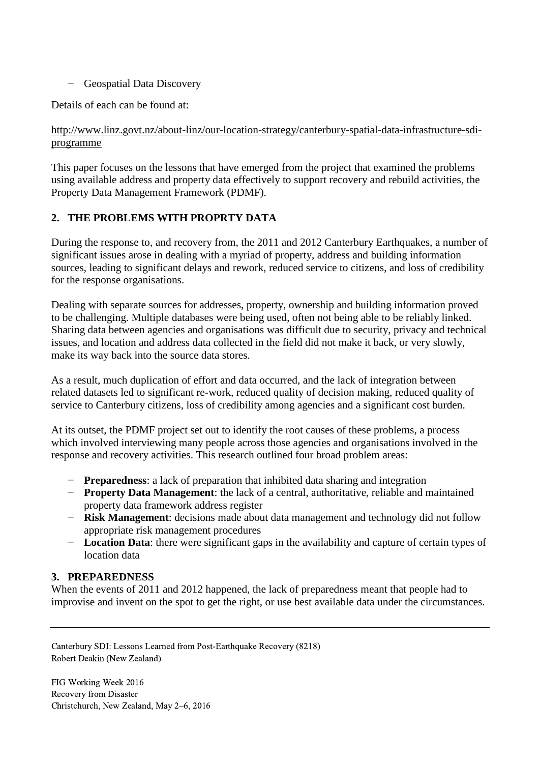− Geospatial Data Discovery

Details of each can be found at:

## [http://www.linz.govt.nz/about-linz/our-location-strategy/canterbury-spatial-data-infrastructure-sdi](http://www.linz.govt.nz/about-linz/our-location-strategy/canterbury-spatial-data-infrastructure-sdi-programme)[programme](http://www.linz.govt.nz/about-linz/our-location-strategy/canterbury-spatial-data-infrastructure-sdi-programme)

This paper focuses on the lessons that have emerged from the project that examined the problems using available address and property data effectively to support recovery and rebuild activities, the Property Data Management Framework (PDMF).

## **2. THE PROBLEMS WITH PROPRTY DATA**

During the response to, and recovery from, the 2011 and 2012 Canterbury Earthquakes, a number of significant issues arose in dealing with a myriad of property, address and building information sources, leading to significant delays and rework, reduced service to citizens, and loss of credibility for the response organisations.

Dealing with separate sources for addresses, property, ownership and building information proved to be challenging. Multiple databases were being used, often not being able to be reliably linked. Sharing data between agencies and organisations was difficult due to security, privacy and technical issues, and location and address data collected in the field did not make it back, or very slowly, make its way back into the source data stores.

As a result, much duplication of effort and data occurred, and the lack of integration between related datasets led to significant re-work, reduced quality of decision making, reduced quality of service to Canterbury citizens, loss of credibility among agencies and a significant cost burden.

At its outset, the PDMF project set out to identify the root causes of these problems, a process which involved interviewing many people across those agencies and organisations involved in the response and recovery activities. This research outlined four broad problem areas:

- − **Preparedness**: a lack of preparation that inhibited data sharing and integration
- − **Property Data Management**: the lack of a central, authoritative, reliable and maintained property data framework address register
- − **Risk Management**: decisions made about data management and technology did not follow appropriate risk management procedures
- − **Location Data**: there were significant gaps in the availability and capture of certain types of location data

### **3. PREPAREDNESS**

When the events of 2011 and 2012 happened, the lack of preparedness meant that people had to improvise and invent on the spot to get the right, or use best available data under the circumstances.

Canterbury SDI: Lessons Learned from Post-Earthquake Recovery (8218) Robert Deakin (New Zealand)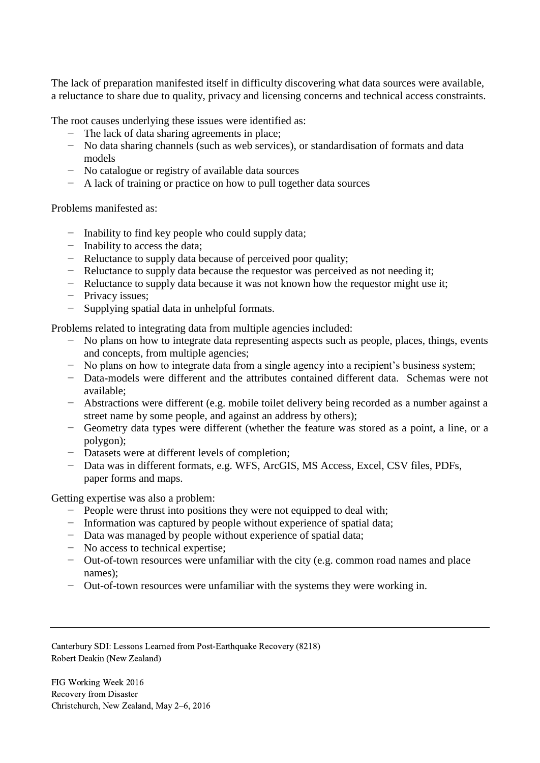The lack of preparation manifested itself in difficulty discovering what data sources were available, a reluctance to share due to quality, privacy and licensing concerns and technical access constraints.

The root causes underlying these issues were identified as:

- − The lack of data sharing agreements in place;
- − No data sharing channels (such as web services), or standardisation of formats and data models
- − No catalogue or registry of available data sources
- − A lack of training or practice on how to pull together data sources

Problems manifested as:

- − Inability to find key people who could supply data;
- − Inability to access the data;
- − Reluctance to supply data because of perceived poor quality;
- − Reluctance to supply data because the requestor was perceived as not needing it;
- − Reluctance to supply data because it was not known how the requestor might use it;
- − Privacy issues;
- − Supplying spatial data in unhelpful formats.

Problems related to integrating data from multiple agencies included:

- − No plans on how to integrate data representing aspects such as people, places, things, events and concepts, from multiple agencies;
- − No plans on how to integrate data from a single agency into a recipient's business system;
- − Data-models were different and the attributes contained different data. Schemas were not available;
- − Abstractions were different (e.g. mobile toilet delivery being recorded as a number against a street name by some people, and against an address by others);
- − Geometry data types were different (whether the feature was stored as a point, a line, or a polygon);
- − Datasets were at different levels of completion;
- − Data was in different formats, e.g. WFS, ArcGIS, MS Access, Excel, CSV files, PDFs, paper forms and maps.

Getting expertise was also a problem:

- − People were thrust into positions they were not equipped to deal with;
- − Information was captured by people without experience of spatial data;
- − Data was managed by people without experience of spatial data;
- − No access to technical expertise;
- − Out-of-town resources were unfamiliar with the city (e.g. common road names and place names);
- − Out-of-town resources were unfamiliar with the systems they were working in.

Canterbury SDI: Lessons Learned from Post-Earthquake Recovery (8218) Robert Deakin (New Zealand)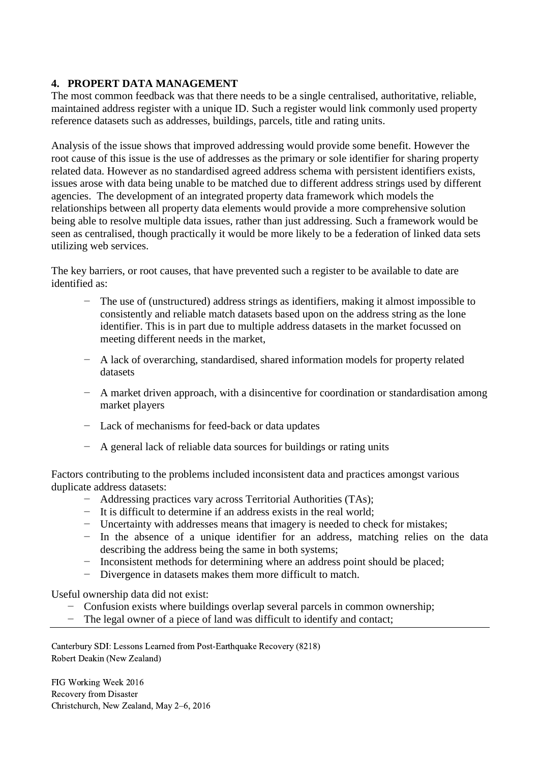## **4. PROPERT DATA MANAGEMENT**

The most common feedback was that there needs to be a single centralised, authoritative, reliable, maintained address register with a unique ID. Such a register would link commonly used property reference datasets such as addresses, buildings, parcels, title and rating units.

Analysis of the issue shows that improved addressing would provide some benefit. However the root cause of this issue is the use of addresses as the primary or sole identifier for sharing property related data. However as no standardised agreed address schema with persistent identifiers exists, issues arose with data being unable to be matched due to different address strings used by different agencies. The development of an integrated property data framework which models the relationships between all property data elements would provide a more comprehensive solution being able to resolve multiple data issues, rather than just addressing. Such a framework would be seen as centralised, though practically it would be more likely to be a federation of linked data sets utilizing web services.

The key barriers, or root causes, that have prevented such a register to be available to date are identified as:

- The use of (unstructured) address strings as identifiers, making it almost impossible to consistently and reliable match datasets based upon on the address string as the lone identifier. This is in part due to multiple address datasets in the market focussed on meeting different needs in the market,
- − A lack of overarching, standardised, shared information models for property related datasets
- − A market driven approach, with a disincentive for coordination or standardisation among market players
- − Lack of mechanisms for feed-back or data updates
- − A general lack of reliable data sources for buildings or rating units

Factors contributing to the problems included inconsistent data and practices amongst various duplicate address datasets:

- − Addressing practices vary across Territorial Authorities (TAs);
- − It is difficult to determine if an address exists in the real world;
- − Uncertainty with addresses means that imagery is needed to check for mistakes;
- − In the absence of a unique identifier for an address, matching relies on the data describing the address being the same in both systems;
- − Inconsistent methods for determining where an address point should be placed;
- Divergence in datasets makes them more difficult to match.

Useful ownership data did not exist:

- − Confusion exists where buildings overlap several parcels in common ownership;
- The legal owner of a piece of land was difficult to identify and contact;

Canterbury SDI: Lessons Learned from Post-Earthquake Recovery (8218) Robert Deakin (New Zealand)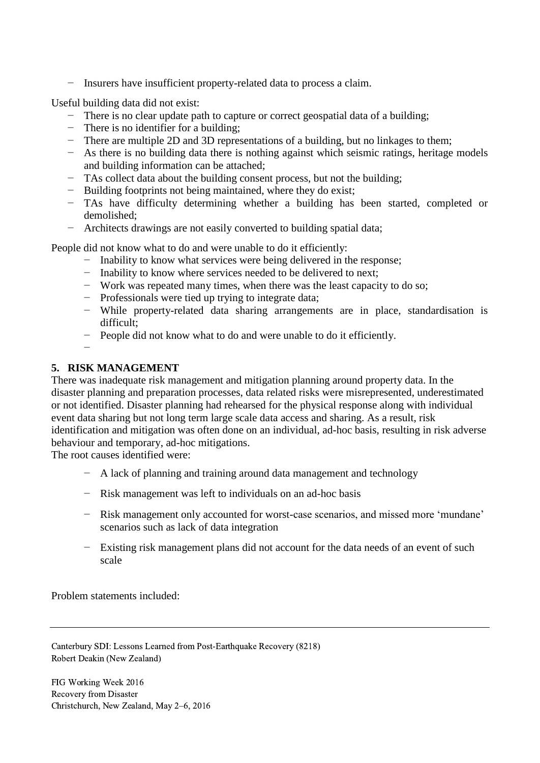− Insurers have insufficient property-related data to process a claim.

Useful building data did not exist:

- − There is no clear update path to capture or correct geospatial data of a building;
- − There is no identifier for a building;
- − There are multiple 2D and 3D representations of a building, but no linkages to them;
- − As there is no building data there is nothing against which seismic ratings, heritage models and building information can be attached;
- − TAs collect data about the building consent process, but not the building;
- − Building footprints not being maintained, where they do exist;
- − TAs have difficulty determining whether a building has been started, completed or demolished;
- − Architects drawings are not easily converted to building spatial data;

People did not know what to do and were unable to do it efficiently:

- − Inability to know what services were being delivered in the response;
- − Inability to know where services needed to be delivered to next;
- − Work was repeated many times, when there was the least capacity to do so;
- − Professionals were tied up trying to integrate data;
- − While property-related data sharing arrangements are in place, standardisation is difficult;
- − People did not know what to do and were unable to do it efficiently.

#### **5. RISK MANAGEMENT**

−

There was inadequate risk management and mitigation planning around property data. In the disaster planning and preparation processes, data related risks were misrepresented, underestimated or not identified. Disaster planning had rehearsed for the physical response along with individual event data sharing but not long term large scale data access and sharing. As a result, risk identification and mitigation was often done on an individual, ad-hoc basis, resulting in risk adverse behaviour and temporary, ad-hoc mitigations.

The root causes identified were:

- − A lack of planning and training around data management and technology
- − Risk management was left to individuals on an ad-hoc basis
- − Risk management only accounted for worst-case scenarios, and missed more 'mundane' scenarios such as lack of data integration
- − Existing risk management plans did not account for the data needs of an event of such scale

Problem statements included:

Canterbury SDI: Lessons Learned from Post-Earthquake Recovery (8218) Robert Deakin (New Zealand)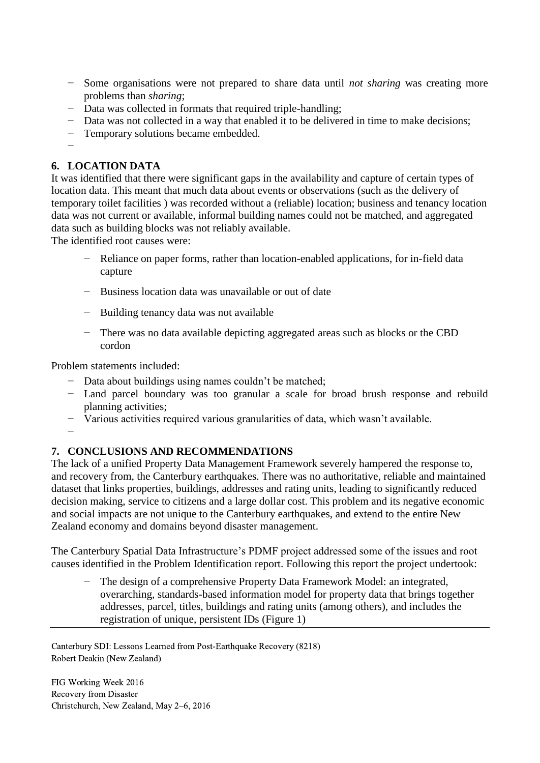- − Some organisations were not prepared to share data until *not sharing* was creating more problems than *sharing*;
- − Data was collected in formats that required triple-handling;
- − Data was not collected in a way that enabled it to be delivered in time to make decisions;
- − Temporary solutions became embedded.
- −

# **6. LOCATION DATA**

It was identified that there were significant gaps in the availability and capture of certain types of location data. This meant that much data about events or observations (such as the delivery of temporary toilet facilities ) was recorded without a (reliable) location; business and tenancy location data was not current or available, informal building names could not be matched, and aggregated data such as building blocks was not reliably available.

The identified root causes were:

- − Reliance on paper forms, rather than location-enabled applications, for in-field data capture
- − Business location data was unavailable or out of date
- − Building tenancy data was not available
- − There was no data available depicting aggregated areas such as blocks or the CBD cordon

Problem statements included:

- − Data about buildings using names couldn't be matched;
- − Land parcel boundary was too granular a scale for broad brush response and rebuild planning activities;
- − Various activities required various granularities of data, which wasn't available.

−

## **7. CONCLUSIONS AND RECOMMENDATIONS**

The lack of a unified Property Data Management Framework severely hampered the response to, and recovery from, the Canterbury earthquakes. There was no authoritative, reliable and maintained dataset that links properties, buildings, addresses and rating units, leading to significantly reduced decision making, service to citizens and a large dollar cost. This problem and its negative economic and social impacts are not unique to the Canterbury earthquakes, and extend to the entire New Zealand economy and domains beyond disaster management.

The Canterbury Spatial Data Infrastructure's PDMF project addressed some of the issues and root causes identified in the Problem Identification report. Following this report the project undertook:

The design of a comprehensive Property Data Framework Model: an integrated, overarching, standards-based information model for property data that brings together addresses, parcel, titles, buildings and rating units (among others), and includes the registration of unique, persistent IDs (Figure 1)

Canterbury SDI: Lessons Learned from Post-Earthquake Recovery (8218) Robert Deakin (New Zealand)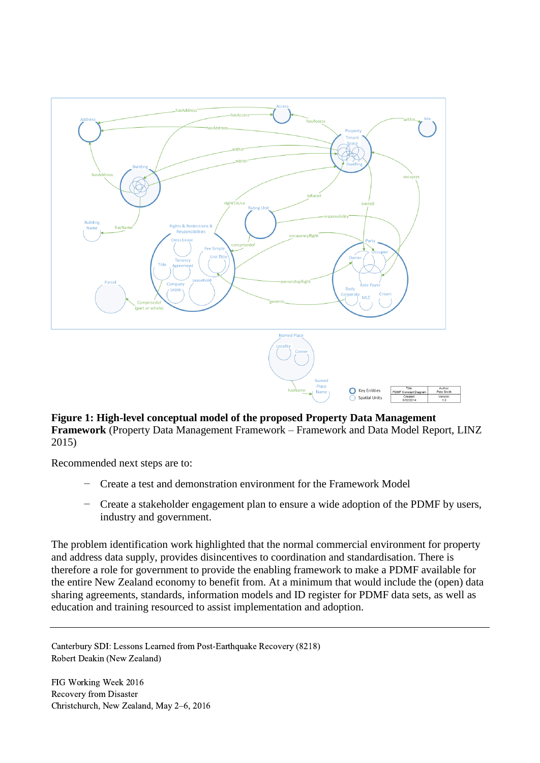

#### **Figure 1: High-level conceptual model of the proposed Property Data Management Framework** (Property Data Management Framework – Framework and Data Model Report, LINZ 2015)

Recommended next steps are to:

- − Create a test and demonstration environment for the Framework Model
- Create a stakeholder engagement plan to ensure a wide adoption of the PDMF by users, industry and government.

The problem identification work highlighted that the normal commercial environment for property and address data supply, provides disincentives to coordination and standardisation. There is therefore a role for government to provide the enabling framework to make a PDMF available for the entire New Zealand economy to benefit from. At a minimum that would include the (open) data sharing agreements, standards, information models and ID register for PDMF data sets, as well as education and training resourced to assist implementation and adoption.

Canterbury SDI: Lessons Learned from Post-Earthquake Recovery (8218) Robert Deakin (New Zealand)